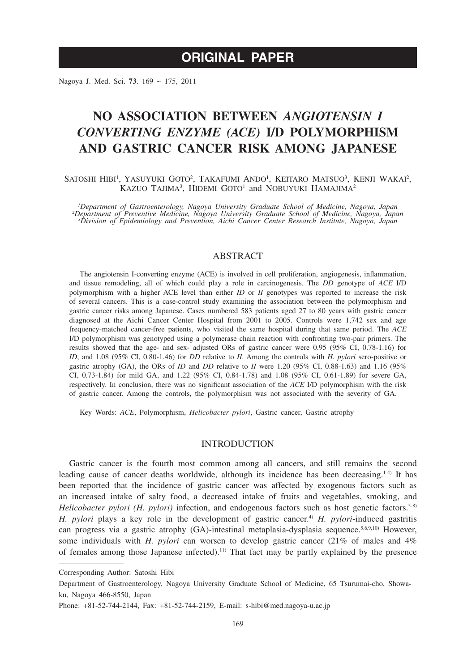# **ORIGINAL PAPER**

Nagoya J. Med. Sci. **73**. 169 ~ 175, 2011

# **NO ASSOCIATION BETWEEN** *ANGIOTENSIN I CONVERTING ENZYME (ACE)* **I/D POLYMORPHISM AND GASTRIC CANCER RISK AMONG JAPANESE**

SATOSHI HIBI<sup>1</sup>, YASUYUKI GOTO<sup>2</sup>, TAKAFUMI ANDO<sup>1</sup>, KEITARO MATSUO<sup>3</sup>, KENJI WAKAI<sup>2</sup>, KAZUO TAJIMA<sup>3</sup>, HIDEMI GOTO<sup>1</sup> and NOBUYUKI HAMAJIMA<sup>2</sup>

*1 Department of Gastroenterology, Nagoya University Graduate School of Medicine, Nagoya, Japan <sup>2</sup> Department of Preventive Medicine, Nagoya University Graduate School of Medicine, Nagoya, Japan 3 Division of Epidemiology and Prevention, Aichi Cancer Center Research Institute, Nagoya, Japan*

# ABSTRACT

The angiotensin I-converting enzyme (ACE) is involved in cell proliferation, angiogenesis, inflammation, and tissue remodeling, all of which could play a role in carcinogenesis. The *DD* genotype of *ACE* I/D polymorphism with a higher ACE level than either *ID* or *II* genotypes was reported to increase the risk of several cancers. This is a case-control study examining the association between the polymorphism and gastric cancer risks among Japanese. Cases numbered 583 patients aged 27 to 80 years with gastric cancer diagnosed at the Aichi Cancer Center Hospital from 2001 to 2005. Controls were 1,742 sex and age frequency-matched cancer-free patients, who visited the same hospital during that same period. The *ACE* I/D polymorphism was genotyped using a polymerase chain reaction with confronting two-pair primers. The results showed that the age- and sex- adjusted ORs of gastric cancer were 0.95 (95% CI, 0.78-1.16) for *ID*, and 1.08 (95% CI, 0.80-1.46) for *DD* relative to *II*. Among the controls with *H. pylori* sero-positive or gastric atrophy (GA), the ORs of *ID* and *DD* relative to *II* were 1.20 (95% CI, 0.88-1.63) and 1.16 (95% CI, 0.73-1.84) for mild GA, and 1.22 (95% CI, 0.84-1.78) and 1.08 (95% CI, 0.61-1.89) for severe GA, respectively. In conclusion, there was no significant association of the *ACE* I/D polymorphism with the risk of gastric cancer. Among the controls, the polymorphism was not associated with the severity of GA.

Key Words: *ACE*, Polymorphism, *Helicobacter pylori*, Gastric cancer, Gastric atrophy

# INTRODUCTION

Gastric cancer is the fourth most common among all cancers, and still remains the second leading cause of cancer deaths worldwide, although its incidence has been decreasing.1-4) It has been reported that the incidence of gastric cancer was affected by exogenous factors such as an increased intake of salty food, a decreased intake of fruits and vegetables, smoking, and *Helicobacter pylori (H. pylori)* infection, and endogenous factors such as host genetic factors.<sup>5-8)</sup> *H. pylori* plays a key role in the development of gastric cancer.<sup>4)</sup> *H. pylori*-induced gastritis can progress via a gastric atrophy (GA)-intestinal metaplasia-dysplasia sequence.<sup>5,6,9,10)</sup> However, some individuals with *H. pylori* can worsen to develop gastric cancer (21% of males and 4% of females among those Japanese infected).11) That fact may be partly explained by the presence

Corresponding Author: Satoshi Hibi

Department of Gastroenterology, Nagoya University Graduate School of Medicine, 65 Tsurumai-cho, Showaku, Nagoya 466-8550, Japan

Phone: +81-52-744-2144, Fax: +81-52-744-2159, E-mail: s-hibi@med.nagoya-u.ac.jp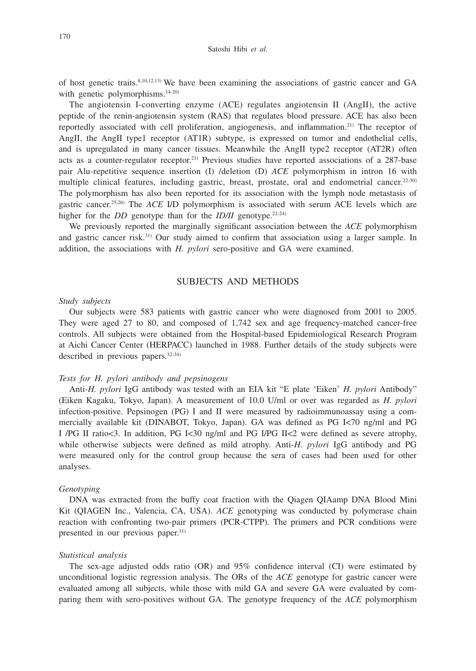of host genetic traits.8,10,12,13) We have been examining the associations of gastric cancer and GA with genetic polymorphisms.<sup>14-20)</sup>

The angiotensin I-converting enzyme (ACE) regulates angiotensin II (AngII), the active peptide of the renin-angiotensin system (RAS) that regulates blood pressure. ACE has also been reportedly associated with cell proliferation, angiogenesis, and inflammation.21) The receptor of AngII, the AngII type1 receptor (AT1R) subtype, is expressed on tumor and endothelial cells, and is upregulated in many cancer tissues. Meanwhile the AngII type2 receptor (AT2R) often acts as a counter-regulator receptor.21) Previous studies have reported associations of a 287-base pair Alu-repetitive sequence insertion (I) /deletion (D) *ACE* polymorphism in intron 16 with multiple clinical features, including gastric, breast, prostate, oral and endometrial cancer.<sup>22-30</sup> The polymorphism has also been reported for its association with the lymph node metastasis of gastric cancer.25,26) The *ACE* I/D polymorphism is associated with serum ACE levels which are higher for the *DD* genotype than for the *ID/II* genotype.<sup>22-24)</sup>

We previously reported the marginally significant association between the *ACE* polymorphism and gastric cancer risk.31) Our study aimed to confirm that association using a larger sample. In addition, the associations with *H. pylori* sero-positive and GA were examined.

# SUBJECTS AND METHODS

## *Study subjects*

Our subjects were 583 patients with gastric cancer who were diagnosed from 2001 to 2005. They were aged 27 to 80, and composed of 1,742 sex and age frequency-matched cancer-free controls. All subjects were obtained from the Hospital-based Epidemiological Research Program at Aichi Cancer Center (HERPACC) launched in 1988. Further details of the study subjects were described in previous papers.<sup>32-34)</sup>

## *Tests for H. pylori antibody and pepsinogens*

Anti-*H. pylori* IgG antibody was tested with an EIA kit "E plate 'Eiken' *H. pylori* Antibody" (Eiken Kagaku, Tokyo, Japan). A measurement of 10.0 U/ml or over was regarded as *H. pylori*  infection-positive. Pepsinogen (PG) I and II were measured by radioimmunoassay using a commercially available kit (DINABOT, Tokyo, Japan). GA was defined as PG I<70 ng/ml and PG I /PG II ratio<3. In addition, PG I<30 ng/ml and PG I/PG II<2 were defined as severe atrophy, while otherwise subjects were defined as mild atrophy. Anti-*H. pylori* IgG antibody and PG were measured only for the control group because the sera of cases had been used for other analyses.

#### *Genotyping*

DNA was extracted from the buffy coat fraction with the Qiagen QIAamp DNA Blood Mini Kit (QIAGEN Inc., Valencia, CA, USA). *ACE* genotyping was conducted by polymerase chain reaction with confronting two-pair primers (PCR-CTPP). The primers and PCR conditions were presented in our previous paper.<sup>31)</sup>

### *Statistical analysis*

The sex-age adjusted odds ratio (OR) and 95% confidence interval (CI) were estimated by unconditional logistic regression analysis. The ORs of the *ACE* genotype for gastric cancer were evaluated among all subjects, while those with mild GA and severe GA were evaluated by comparing them with sero-positives without GA. The genotype frequency of the *ACE* polymorphism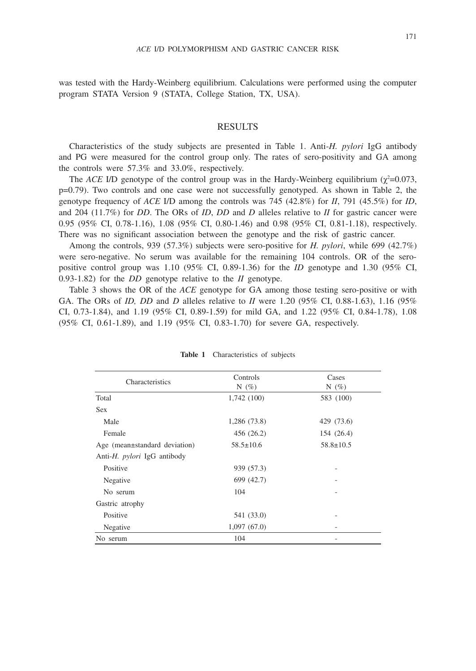was tested with the Hardy-Weinberg equilibrium. Calculations were performed using the computer program STATA Version 9 (STATA, College Station, TX, USA).

## RESULTS

Characteristics of the study subjects are presented in Table 1. Anti-*H. pylori* IgG antibody and PG were measured for the control group only. The rates of sero-positivity and GA among the controls were 57.3% and 33.0%, respectively.

The *ACE I/D* genotype of the control group was in the Hardy-Weinberg equilibrium  $(\chi^2=0.073,$ p=0.79). Two controls and one case were not successfully genotyped. As shown in Table 2, the genotype frequency of *ACE* I/D among the controls was 745 (42.8%) for *II*, 791 (45.5%) for *ID*, and 204 (11.7%) for *DD*. The ORs of *ID*, *DD* and *D* alleles relative to *II* for gastric cancer were 0.95 (95% CI, 0.78-1.16), 1.08 (95% CI, 0.80-1.46) and 0.98 (95% CI, 0.81-1.18), respectively. There was no significant association between the genotype and the risk of gastric cancer.

Among the controls, 939 (57.3%) subjects were sero-positive for *H. pylori*, while 699 (42.7%) were sero-negative. No serum was available for the remaining 104 controls. OR of the seropositive control group was 1.10 (95% CI, 0.89-1.36) for the *ID* genotype and 1.30 (95% CI, 0.93-1.82) for the *DD* genotype relative to the *II* genotype.

Table 3 shows the OR of the *ACE* genotype for GA among those testing sero-positive or with GA. The ORs of *ID, DD* and *D* alleles relative to *II* were 1.20 (95% CI, 0.88-1.63), 1.16 (95% CI, 0.73-1.84), and 1.19 (95% CI, 0.89-1.59) for mild GA, and 1.22 (95% CI, 0.84-1.78), 1.08 (95% CI, 0.61-1.89), and 1.19 (95% CI, 0.83-1.70) for severe GA, respectively.

|                                     | Controls        | Cases           |  |  |
|-------------------------------------|-----------------|-----------------|--|--|
| Characteristics                     | N $(\%)$        | N $(\%)$        |  |  |
| Total                               | 1,742 (100)     | 583 (100)       |  |  |
| <b>Sex</b>                          |                 |                 |  |  |
| Male                                | 1,286 (73.8)    | 429 (73.6)      |  |  |
| Female                              | 456 (26.2)      | 154 (26.4)      |  |  |
| Age (mean±standard deviation)       | $58.5 \pm 10.6$ | $58.8 \pm 10.5$ |  |  |
| Anti- <i>H. pylori</i> IgG antibody |                 |                 |  |  |
| Positive                            | 939 (57.3)      |                 |  |  |
| Negative                            | 699 (42.7)      |                 |  |  |
| No serum                            | 104             |                 |  |  |
| Gastric atrophy                     |                 |                 |  |  |
| Positive                            | 541 (33.0)      |                 |  |  |
| Negative                            | 1,097(67.0)     |                 |  |  |
| No serum                            | 104             |                 |  |  |

| Table 1 |  | Characteristics of subjects |  |  |  |
|---------|--|-----------------------------|--|--|--|
|---------|--|-----------------------------|--|--|--|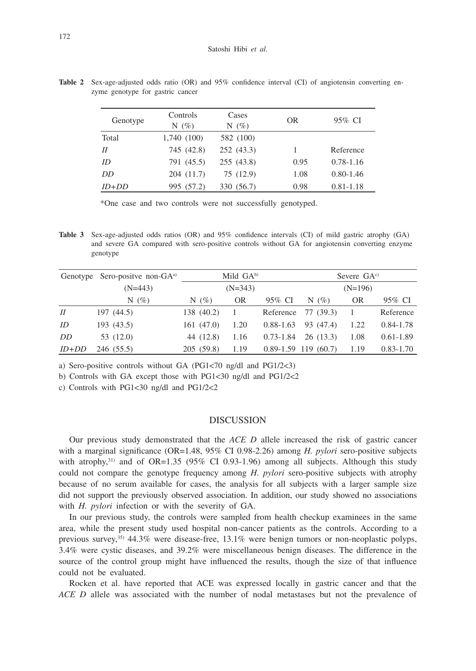Genotype Controls  $N(\%)$ Cases  $N(\%)$  OR 95% CI Total 1,740 (100) 582 (100) *II* 745 (42.8) 252 (43.3) 1 Reference *ID* 791 (45.5) 255 (43.8) 0.95 0.78-1.16 *DD* 204 (11.7) 75 (12.9) 1.08 0.80-1.46 *ID*+*DD* 995 (57.2) 330 (56.7) 0.98 0.81-1.18

**Table 2** Sex-age-adjusted odds ratio (OR) and 95% confidence interval (CI) of angiotensin converting enzyme genotype for gastric cancer

\*One case and two controls were not successfully genotyped.

**Table 3** Sex-age-adjusted odds ratios (OR) and 95% confidence intervals (CI) of mild gastric atrophy (GA) and severe GA compared with sero-positive controls without GA for angiotensin converting enzyme genotype

|         | Genotype Sero-positve non-GA <sup>a)</sup> | Mild $GA^{b}$ |              |               | Severe $GAc$             |      |               |
|---------|--------------------------------------------|---------------|--------------|---------------|--------------------------|------|---------------|
|         | $(N=443)$                                  | $(N=343)$     |              |               | $(N=196)$                |      |               |
|         | N $(\% )$                                  | N $(\% )$     | OR           | 95% CI        | N $(\% )$                | OR   | 95% CI        |
| II      | 197(44.5)                                  | 138 (40.2)    | $\mathbf{1}$ | Reference     | 77 (39.3)                | -1   | Reference     |
| ID      | 193(43.5)                                  | 161(47.0)     | 1.20         | $0.88 - 1.63$ | 93 (47.4)                | 1.22 | $0.84 - 1.78$ |
| DD      | 53 (12.0)                                  | 44 (12.8)     | 1.16         | $0.73 - 1.84$ | 26(13.3)                 | 1.08 | $0.61 - 1.89$ |
| $ID+DD$ | 246 (55.5)                                 | 205(59.8)     | 1.19         |               | $0.89 - 1.59$ 119 (60.7) | 1.19 | $0.83 - 1.70$ |

a) Sero-positive controls without GA (PG1<70 ng/dl and PG1/2<3)

b) Controls with GA except those with PG1<30 ng/dl and PG1/2<2

c) Controls with PG1<30 ng/dl and PG1/2<2

#### DISCUSSION

Our previous study demonstrated that the *ACE D* allele increased the risk of gastric cancer with a marginal significance (OR=1.48, 95% CI 0.98-2.26) among *H. pylori* sero-positive subjects with atrophy,<sup>31)</sup> and of OR=1.35 (95% CI 0.93-1.96) among all subjects. Although this study could not compare the genotype frequency among *H. pylori* sero-positive subjects with atrophy because of no serum available for cases, the analysis for all subjects with a larger sample size did not support the previously observed association. In addition, our study showed no associations with *H. pylori* infection or with the severity of GA.

In our previous study, the controls were sampled from health checkup examinees in the same area, while the present study used hospital non-cancer patients as the controls. According to a previous survey,35) 44.3% were disease-free, 13.1% were benign tumors or non-neoplastic polyps, 3.4% were cystic diseases, and 39.2% were miscellaneous benign diseases. The difference in the source of the control group might have influenced the results, though the size of that influence could not be evaluated.

Rocken et al. have reported that ACE was expressed locally in gastric cancer and that the *ACE D* allele was associated with the number of nodal metastases but not the prevalence of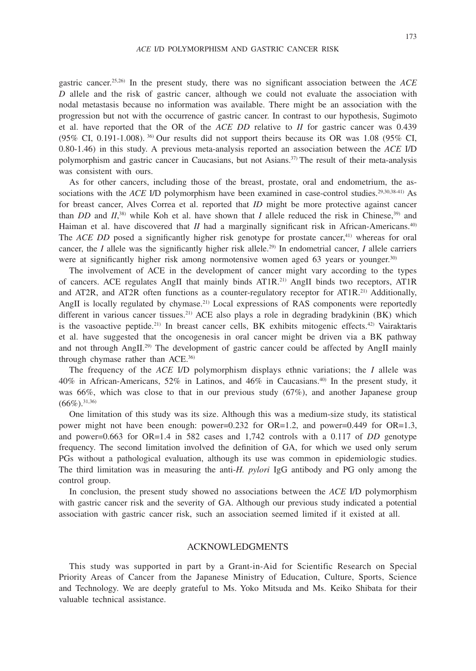gastric cancer.25,26) In the present study, there was no significant association between the *ACE D* allele and the risk of gastric cancer, although we could not evaluate the association with nodal metastasis because no information was available. There might be an association with the progression but not with the occurrence of gastric cancer. In contrast to our hypothesis, Sugimoto et al. have reported that the OR of the *ACE DD* relative to *II* for gastric cancer was 0.439 (95% CI, 0.191-1.008). <sup>36</sup> Our results did not support theirs because its OR was 1.08 (95% CI, 0.80-1.46) in this study. A previous meta-analysis reported an association between the *ACE* I/D polymorphism and gastric cancer in Caucasians, but not Asians.37) The result of their meta-analysis was consistent with ours.

As for other cancers, including those of the breast, prostate, oral and endometrium, the associations with the *ACE I/D* polymorphism have been examined in case-control studies.<sup>29,30,38-41)</sup> As for breast cancer, Alves Correa et al. reported that *ID* might be more protective against cancer than *DD* and  $II$ <sup>38</sup>, while Koh et al. have shown that *I* allele reduced the risk in Chinese,<sup>39</sup> and Haiman et al. have discovered that *II* had a marginally significant risk in African-Americans.<sup>40</sup> The *ACE DD* posed a significantly higher risk genotype for prostate cancer,<sup>41)</sup> whereas for oral cancer, the *I* allele was the significantly higher risk allele.<sup>29)</sup> In endometrial cancer, *I* allele carriers were at significantly higher risk among normotensive women aged 63 years or younger.<sup>30)</sup>

The involvement of ACE in the development of cancer might vary according to the types of cancers. ACE regulates AngII that mainly binds AT1R.21) AngII binds two receptors, AT1R and AT2R, and AT2R often functions as a counter-regulatory receptor for AT1R.<sup>21)</sup> Additionally, AngII is locally regulated by chymase.<sup>21)</sup> Local expressions of RAS components were reportedly different in various cancer tissues.<sup>21)</sup> ACE also plays a role in degrading bradykinin (BK) which is the vasoactive peptide.<sup>21)</sup> In breast cancer cells, BK exhibits mitogenic effects.<sup>42)</sup> Vairaktaris et al. have suggested that the oncogenesis in oral cancer might be driven via a BK pathway and not through AngII.<sup>29)</sup> The development of gastric cancer could be affected by AngII mainly through chymase rather than ACE.36)

The frequency of the *ACE* I/D polymorphism displays ethnic variations; the *I* allele was 40% in African-Americans, 52% in Latinos, and 46% in Caucasians.40) In the present study, it was 66%, which was close to that in our previous study (67%), and another Japanese group  $(66\%)$ . 31,36)

One limitation of this study was its size. Although this was a medium-size study, its statistical power might not have been enough: power=0.232 for OR=1.2, and power=0.449 for OR=1.3, and power=0.663 for OR=1.4 in 582 cases and 1,742 controls with a 0.117 of *DD* genotype frequency. The second limitation involved the definition of GA, for which we used only serum PGs without a pathological evaluation, although its use was common in epidemiologic studies. The third limitation was in measuring the anti-*H. pylori* IgG antibody and PG only among the control group.

In conclusion, the present study showed no associations between the *ACE* I/D polymorphism with gastric cancer risk and the severity of GA. Although our previous study indicated a potential association with gastric cancer risk, such an association seemed limited if it existed at all.

## ACKNOWLEDGMENTS

This study was supported in part by a Grant-in-Aid for Scientific Research on Special Priority Areas of Cancer from the Japanese Ministry of Education, Culture, Sports, Science and Technology. We are deeply grateful to Ms. Yoko Mitsuda and Ms. Keiko Shibata for their valuable technical assistance.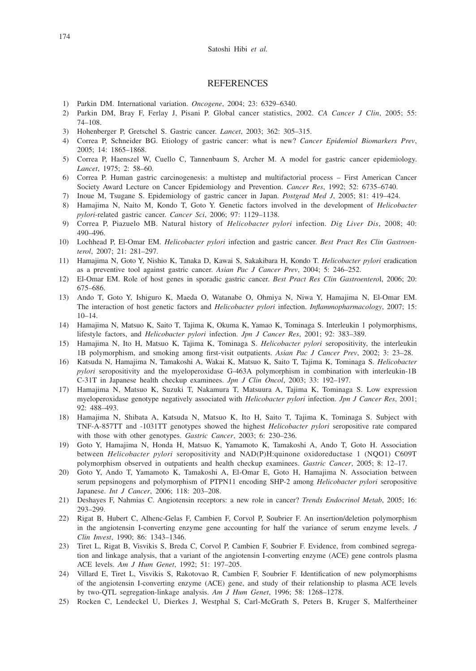## **REFERENCES**

- 1) Parkin DM. International variation. *Oncogene*, 2004; 23: 6329–6340.
- 2) Parkin DM, Bray F, Ferlay J, Pisani P. Global cancer statistics, 2002. *CA Cancer J Clin*, 2005; 55: 74–108.
- 3) Hohenberger P, Gretschel S. Gastric cancer. *Lancet*, 2003; 362: 305–315.
- 4) Correa P, Schneider BG. Etiology of gastric cancer: what is new? *Cancer Epidemiol Biomarkers Prev*, 2005; 14: 1865–1868.
- 5) Correa P, Haenszel W, Cuello C, Tannenbaum S, Archer M. A model for gastric cancer epidemiology. *Lancet*, 1975; 2: 58–60.
- 6) Correa P. Human gastric carcinogenesis: a multistep and multifactorial process First American Cancer Society Award Lecture on Cancer Epidemiology and Prevention. *Cancer Res*, 1992; 52: 6735–6740.
- 7) Inoue M, Tsugane S. Epidemiology of gastric cancer in Japan. *Postgrad Med J*, 2005; 81: 419–424.
- 8) Hamajima N, Naito M, Kondo T, Goto Y. Genetic factors involved in the development of *Helicobacter pylori*-related gastric cancer. *Cancer Sci*, 2006; 97: 1129–1138.
- 9) Correa P, Piazuelo MB. Natural history of *Helicobacter pylori* infection. *Dig Liver Dis*, 2008; 40: 490–496.
- 10) Lochhead P, El-Omar EM. *Helicobacter pylori* infection and gastric cancer. *Best Pract Res Clin Gastroenterol*, 2007; 21: 281–297.
- 11) Hamajima N, Goto Y, Nishio K, Tanaka D, Kawai S, Sakakibara H, Kondo T. *Helicobacter pylori* eradication as a preventive tool against gastric cancer. *Asian Pac J Cancer Prev*, 2004; 5: 246–252.
- 12) El-Omar EM. Role of host genes in sporadic gastric cancer. *Best Pract Res Clin Gastroentero*l, 2006; 20: 675–686.
- 13) Ando T, Goto Y, Ishiguro K, Maeda O, Watanabe O, Ohmiya N, Niwa Y, Hamajima N, El-Omar EM. The interaction of host genetic factors and *Helicobacter pylori* infection. *Inflammopharmacology*, 2007; 15: 10–14.
- 14) Hamajima N, Matsuo K, Saito T, Tajima K, Okuma K, Yamao K, Tominaga S. Interleukin 1 polymorphisms, lifestyle factors, and *Helicobacter pylori* infection. *Jpn J Cancer Res*, 2001; 92: 383–389.
- 15) Hamajima N, Ito H, Matsuo K, Tajima K, Tominaga S. *Helicobacter pylori* seropositivity, the interleukin 1B polymorphism, and smoking among first-visit outpatients. *Asian Pac J Cancer Prev*, 2002; 3: 23–28.
- 16) Katsuda N, Hamajima N, Tamakoshi A, Wakai K, Matsuo K, Saito T, Tajima K, Tominaga S. *Helicobacter pylori* seropositivity and the myeloperoxidase G-463A polymorphism in combination with interleukin-1B C-31T in Japanese health checkup examinees. *Jpn J Clin Oncol*, 2003; 33: 192–197.
- 17) Hamajima N, Matsuo K, Suzuki T, Nakamura T, Matsuura A, Tajima K, Tominaga S. Low expression myeloperoxidase genotype negatively associated with *Helicobacter pylori* infection. *Jpn J Cancer Res*, 2001; 92: 488–493.
- 18) Hamajima N, Shibata A, Katsuda N, Matsuo K, Ito H, Saito T, Tajima K, Tominaga S. Subject with TNF-A-857TT and -1031TT genotypes showed the highest *Helicobacter pylori* seropositive rate compared with those with other genotypes. *Gastric Cancer*, 2003; 6: 230–236.
- 19) Goto Y, Hamajima N, Honda H, Matsuo K, Yamamoto K, Tamakoshi A, Ando T, Goto H. Association between *Helicobacter pylori* seropositivity and NAD(P)H:quinone oxidoreductase 1 (NQO1) C609T polymorphism observed in outpatients and health checkup examinees. *Gastric Cancer*, 2005; 8: 12–17.
- 20) Goto Y, Ando T, Yamamoto K, Tamakoshi A, El-Omar E, Goto H, Hamajima N. Association between serum pepsinogens and polymorphism of PTPN11 encoding SHP-2 among *Helicobacter pylori* seropositive Japanese. *Int J Cancer*, 2006; 118: 203–208.
- 21) Deshayes F, Nahmias C. Angiotensin receptors: a new role in cancer? *Trends Endocrinol Metab*, 2005; 16: 293–299.
- 22) Rigat B, Hubert C, Alhenc-Gelas F, Cambien F, Corvol P, Soubrier F. An insertion/deletion polymorphism in the angiotensin I-converting enzyme gene accounting for half the variance of serum enzyme levels. *J Clin Invest*, 1990; 86: 1343–1346.
- 23) Tiret L, Rigat B, Visvikis S, Breda C, Corvol P, Cambien F, Soubrier F. Evidence, from combined segregation and linkage analysis, that a variant of the angiotensin I-converting enzyme (ACE) gene controls plasma ACE levels. *Am J Hum Genet*, 1992; 51: 197–205.
- 24) Villard E, Tiret L, Visvikis S, Rakotovao R, Cambien F, Soubrier F. Identification of new polymorphisms of the angiotensin I-converting enzyme (ACE) gene, and study of their relationship to plasma ACE levels by two-QTL segregation-linkage analysis. *Am J Hum Genet*, 1996; 58: 1268–1278.
- 25) Rocken C, Lendeckel U, Dierkes J, Westphal S, Carl-McGrath S, Peters B, Kruger S, Malfertheiner